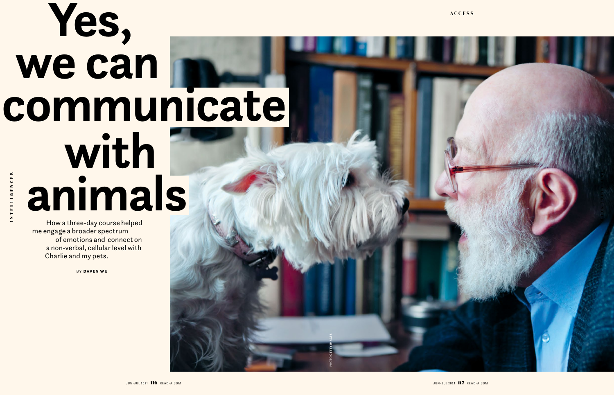How a three-day course helped me engage a broader spectrum of emotions and connect on a non-verbal, cellular level with Charlie and my pets.

BY DAVEN WU

## **Yes, we can communicate with animals**

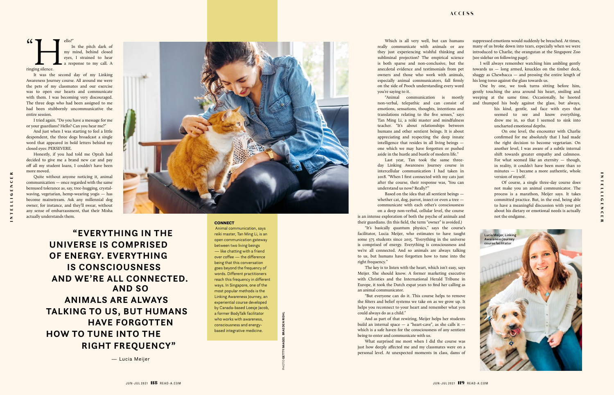

I tried again. "Do you have a message for me or your guardians? Hello? Can you hear me?"

And just when I was starting to feel a little despondent, the three dogs broadcast a single word that appeared in bold letters behind my closed eyes: PERSEVERE.

Honestly, if you had told me Oprah had decided to give me a brand new car and pay off all my student loans, I couldn't have been more moved.

Quite without anyone noticing it, animal communication — once regarded with the same bemused tolerance as, say, tree-hugging, crystalwaving, vegetarian, hemp-wearing yogis — has become mainstream. Ask any millennial dog owner, for instance, and they'll swear, without any sense of embarrassment, that their Misha actually understands them.



 **"EVERYTHING IN THE UNIVERSE IS COMPRISED OF ENERGY. EVERYTHING IS CONSCIOUSNESS AND WE'RE ALL CONNECTED. AND SO ANIMALS ARE ALWAYS TALKING TO US, BUT HUMANS HAVE FORGOTTEN HOW TO TUNE INTO THE RIGHT FREQUENCY"** 

**CONNECT** 

— Lucia Meijer

Animal communication, says reiki master, Tan Ming Li, is an open communication gateway between two living beings — like chatting with a friend over coffee — the difference being that this conversation goes beyond the frequency of words. Different practitioners reach this frequency in different ways. In Singapore, one of the most popular methods is the Linking Awareness Journey, an experiential course developed by Canada-based Loesje Jacob, a former BodyTalk facilitator who works with awareness, consciousness and energybased integrative medicine.

is an intense exploration of both the psyche of animals and their guardians. (In this field, the term "owner" is avoided.)

"It's basically quantum physics," says the course's facilitator, Lucia Meijer, who estimates to have taught some 375 students since 2015. "Everything in the universe is comprised of energy. Everything is consciousness and we're all connected. And so animals are always talking to us, but humans have forgotten how to tune into the right frequency."

The key is to listen with the heart, which isn't easy, says Meijer. She should know. A former marketing executive with Christies and the International Herald Tribune in Europe, it took the Dutch expat years to find her calling as an animal communicator.

 $\alpha$ ello?"<br>
In my 1<br>
eyes,<br>
a res In the pitch dark of my mind, behind closed eyes, I strained to hear a response to my call. A ringing silence.

> "But everyone can do it. This course helps to remove the filters and belief systems we take on as we grow up. It helps you reconnect to your heart and remember what you could always do as a child."

> And as part of that rewiring, Meijer helps her students build an internal space — a "heart-cave", as she calls it which is a safe haven for the consciousness of any sentient being to enter and communicate with us.

> What surprised me most when I did the course was just how deeply affected me and my classmates were on a personal level. At unexpected moments in class, dams of

suppressed emotions would suddenly be breached. At times, many of us broke down into tears, especially when we were introduced to Charlie, the orangutan at the Singapore Zoo [see sidebar on following page].

 $\cong$ 

I will always remember watching him ambling gently towards us — long armed, knuckles on the timber deck, shaggy as Chewbacca — and pressing the entire length of his long torso against the glass towards us.

One by one, we took turns sitting before him, gently touching the area around his heart, smiling and weeping at the same time. Occasionally, he hooted and thumped his body against the glass, but always,

his kind, gentle, sad face with eyes that seemed to see and know everything, drew me in, so that I seemed to sink into uncharted emotional depths.

On one level, the encounter with Charlie confirmed for me absolutely that I had made the right decision to become vegetarian. On another level, I was aware of a subtle internal shift towards greater empathy and calmness. For what seemed like an eternity — though, in reality, it couldn't have been more than 10 minutes — I became a more authentic, whole version of myself.

Of course, a single three-day course does not make you an animal communicator. The process is a marathon, Meijer says. It takes committed practice. But, in the end, being able to have a meaningful discussion with your pet about his dietary or emotional needs is actually not the endgame.

It was the second day of my Linking Awareness Journey course. All around me were the pets of my classmates and our exercise was to open our hearts and communicate with them. I was becoming very discouraged. The three dogs who had been assigned to me had been stubbornly uncommunicative the entire session.

PHOTO **GETTY IMAGES**, **BRAEDEN RIEHL**

Which is all very well, but can humans really communicate with animals or are they just experiencing wishful thinking and subliminal projection? The empirical science is both sparse and non-conclusive, but the anecdotal evidence and testimonials from pet owners and those who work with animals, especially animal communicators, fall firmly on the side of Pooch understanding every word you're saying to it.

"Animal communication is mostly non-verbal, telepathic and can consist of emotions, sensations, thoughts, intentions and translations relating to the five senses," says Tan Ming Li, a reiki master and mindfulness teacher. "It's about relationships between humans and other sentient beings. It is about appreciating and respecting the deep innate intelligence that resides in all living beings one which we may have forgotten or pushed aside in the hustle and bustle of modern life."

Last year, Tan took the same threeday Linking Awareness Journey course in intercellular communication I had taken in 2018. "When I first connected with my cats just after the course, their response was, 'You can understand us now? Really?'"

Based on the idea that all sentient beings whether cat, dog, parrot, insect or even a tree communicate with each other's consciousness on a deep non-verbal, cellular level, the course